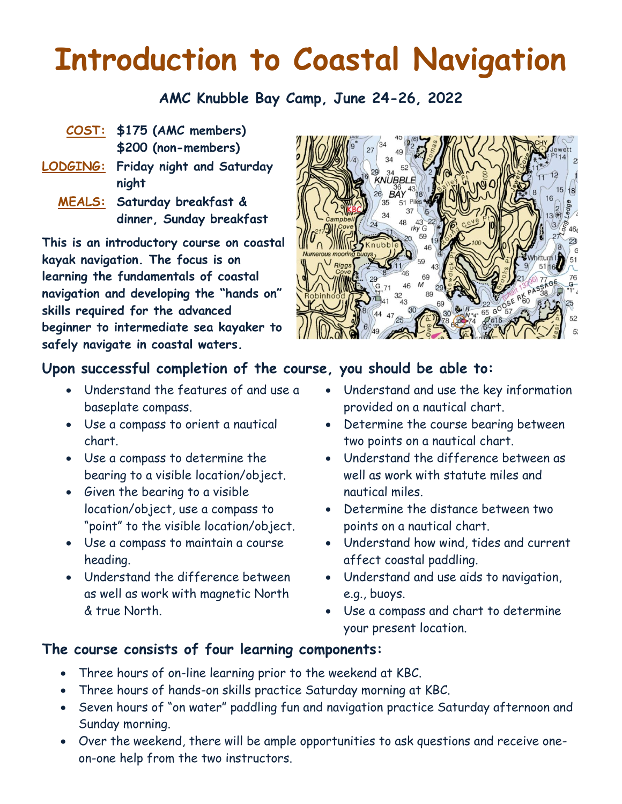# **Introduction to Coastal Navigation**

**AMC Knubble Bay Camp, June 24-26, 2022**

- **COST: \$175 (AMC members) \$200 (non-members)**
- **LODGING: Friday night and Saturday night**
	- **MEALS: Saturday breakfast & dinner, Sunday breakfast**

**This is an introductory course on coastal kayak navigation. The focus is on learning the fundamentals of coastal navigation and developing the "hands on" skills required for the advanced beginner to intermediate sea kayaker to safely navigate in coastal waters.**



#### **Upon successful completion of the course, you should be able to:**

- Understand the features of and use a baseplate compass.
- Use a compass to orient a nautical chart.
- Use a compass to determine the bearing to a visible location/object.
- Given the bearing to a visible location/object, use a compass to "point" to the visible location/object.
- Use a compass to maintain a course heading.
- Understand the difference between as well as work with magnetic North & true North.
- Understand and use the key information provided on a nautical chart.
- Determine the course bearing between two points on a nautical chart.
- Understand the difference between as well as work with statute miles and nautical miles.
- Determine the distance between two points on a nautical chart.
- Understand how wind, tides and current affect coastal paddling.
- Understand and use aids to navigation, e.g., buoys.
- Use a compass and chart to determine your present location.

#### **The course consists of four learning components:**

- Three hours of on-line learning prior to the weekend at KBC.
- Three hours of hands-on skills practice Saturday morning at KBC.
- Seven hours of "on water" paddling fun and navigation practice Saturday afternoon and Sunday morning.
- Over the weekend, there will be ample opportunities to ask questions and receive oneon-one help from the two instructors.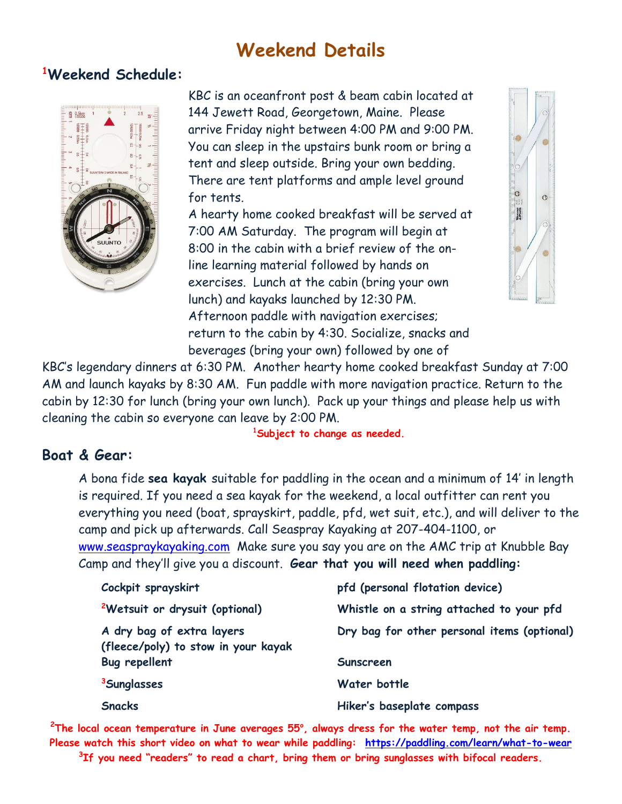## **Weekend Details**

#### **<sup>1</sup>Weekend Schedule:**



KBC is an oceanfront post & beam cabin located at 144 Jewett Road, Georgetown, Maine. Please arrive Friday night between 4:00 PM and 9:00 PM. You can sleep in the upstairs bunk room or bring a tent and sleep outside. Bring your own bedding. There are tent platforms and ample level ground for tents. A hearty home cooked breakfast will be served at

7:00 AM Saturday. The program will begin at 8:00 in the cabin with a brief review of the online learning material followed by hands on exercises. Lunch at the cabin (bring your own lunch) and kayaks launched by 12:30 PM. Afternoon paddle with navigation exercises; return to the cabin by 4:30. Socialize, snacks and beverages (bring your own) followed by one of



KBC's legendary dinners at 6:30 PM. Another hearty home cooked breakfast Sunday at 7:00 AM and launch kayaks by 8:30 AM. Fun paddle with more navigation practice. Return to the cabin by 12:30 for lunch (bring your own lunch). Pack up your things and please help us with cleaning the cabin so everyone can leave by 2:00 PM.

#### **Boat & Gear:**

**<sup>1</sup>Subject to change as needed.**

A bona fide **sea kayak** suitable for paddling in the ocean and a minimum of 14' in length is required. If you need a sea kayak for the weekend, a local outfitter can rent you everything you need (boat, sprayskirt, paddle, pfd, wet suit, etc.), and will deliver to the camp and pick up afterwards. Call Seaspray Kayaking at 207-404-1100, or [www.seaspraykayaking.com](http://www.seaspraykayaking.com/) Make sure you say you are on the AMC trip at Knubble Bay Camp and they'll give you a discount. **Gear that you will need when paddling:**

| Cockpit sprayskirt                                               | pfd (personal flotation device)             |  |  |
|------------------------------------------------------------------|---------------------------------------------|--|--|
| <sup>2</sup> Wetsuit or drysuit (optional)                       | Whistle on a string attached to your pfd    |  |  |
| A dry bag of extra layers<br>(fleece/poly) to stow in your kayak | Dry bag for other personal items (optional) |  |  |
| <b>Bug repellent</b>                                             | <b>Sunscreen</b>                            |  |  |
| <sup>3</sup> Sunglasses                                          | Water bottle                                |  |  |
| <b>Snacks</b>                                                    | Hiker's baseplate compass                   |  |  |

**<sup>2</sup>The local ocean temperature in June averages 55<sup>o</sup> , always dress for the water temp, not the air temp. Please watch this short video on what to wear while paddling: <https://paddling.com/learn/what-to-wear>**

**3 If you need "readers" to read a chart, bring them or bring sunglasses with bifocal readers.**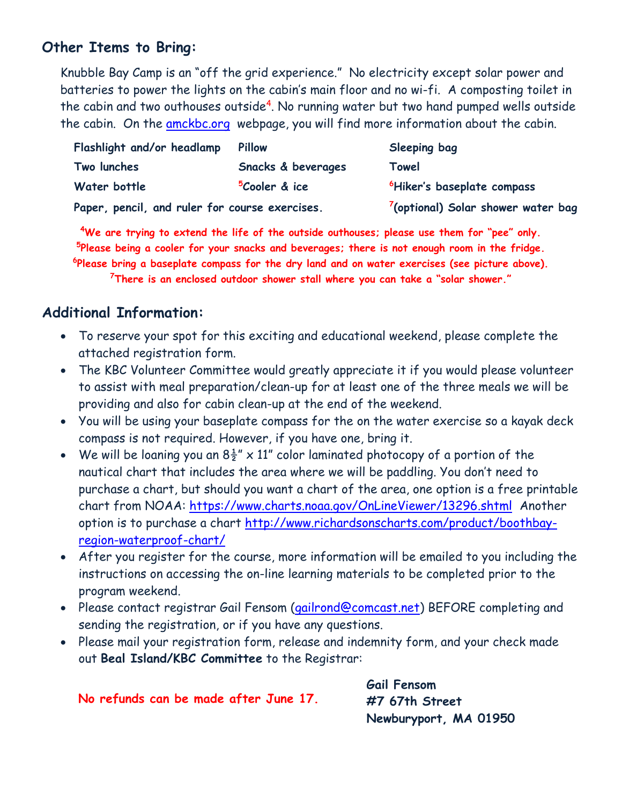#### **Other Items to Bring:**

Knubble Bay Camp is an "off the grid experience." No electricity except solar power and batteries to power the lights on the cabin's main floor and no wi-fi. A composting toilet in the cabin and two outhouses outside<sup>4</sup>. No running water but two hand pumped wells outside the cabin. On the [amckbc.org](https://amckbc.org/) webpage, you will find more information about the cabin.

| Flashlight and/or headlamp                     | <b>Pillow</b>             | Sleeping bag                                   |
|------------------------------------------------|---------------------------|------------------------------------------------|
| Two lunches                                    | Snacks & beverages        | Towel                                          |
| Water bottle                                   | <sup>5</sup> Cooler & ice | <sup>6</sup> Hiker's baseplate compass         |
| Paper, pencil, and ruler for course exercises. |                           | <sup>7</sup> (optional) Solar shower water bag |

**<sup>4</sup>We are trying to extend the life of the outside outhouses; please use them for "pee" only. 5 Please being a cooler for your snacks and beverages; there is not enough room in the fridge. 6 Please bring a baseplate compass for the dry land and on water exercises (see picture above).**

**<sup>7</sup>There is an enclosed outdoor shower stall where you can take a "solar shower."**

#### **Additional Information:**

- To reserve your spot for this exciting and educational weekend, please complete the attached registration form.
- The KBC Volunteer Committee would greatly appreciate it if you would please volunteer to assist with meal preparation/clean-up for at least one of the three meals we will be providing and also for cabin clean-up at the end of the weekend.
- You will be using your baseplate compass for the on the water exercise so a kayak deck compass is not required. However, if you have one, bring it.
- We will be loaning you an  $8\frac{1}{2}$ " x 11" color laminated photocopy of a portion of the nautical chart that includes the area where we will be paddling. You don't need to purchase a chart, but should you want a chart of the area, one option is a free printable chart from NOAA:<https://www.charts.noaa.gov/OnLineViewer/13296.shtml>Another option is to purchase a chart [http://www.richardsonscharts.com/product/boothbay](http://www.richardsonscharts.com/product/boothbay-region-waterproof-chart/)[region-waterproof-chart/](http://www.richardsonscharts.com/product/boothbay-region-waterproof-chart/)
- After you register for the course, more information will be emailed to you including the instructions on accessing the on-line learning materials to be completed prior to the program weekend.
- Please contact registrar Gail Fensom [\(gailrond@comcast.net\)](mailto:gailrond@comcast.net) BEFORE completing and sending the registration, or if you have any questions.
- Please mail your registration form, release and indemnity form, and your check made out **Beal Island/KBC Committee** to the Registrar:

| No refunds can be made after June 17. | Gail Fensom<br>#7 67th Street |  |
|---------------------------------------|-------------------------------|--|
|                                       | Newburyport, MA 01950         |  |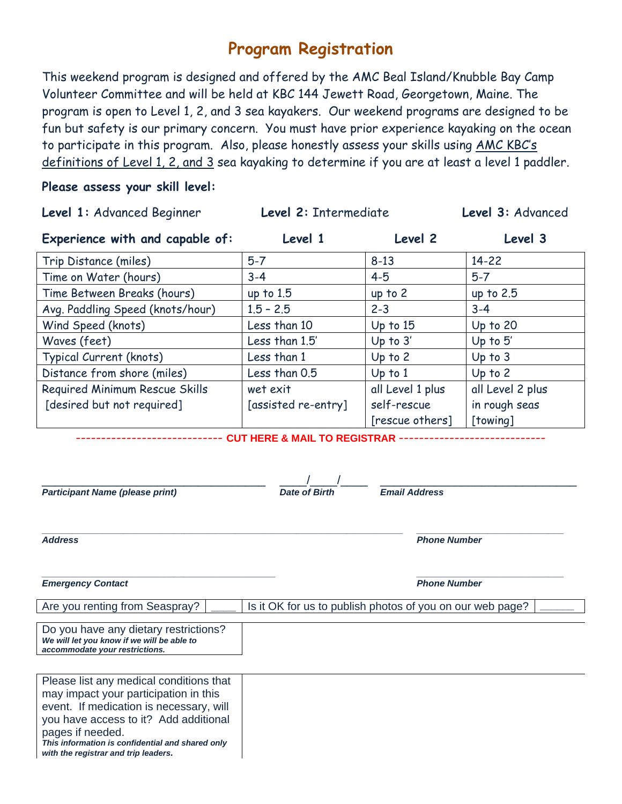### **Program Registration**

This weekend program is designed and offered by the AMC Beal Island/Knubble Bay Camp Volunteer Committee and will be held at KBC 144 Jewett Road, Georgetown, Maine. The program is open to Level 1, 2, and 3 sea kayakers. Our weekend programs are designed to be fun but safety is our primary concern. You must have prior experience kayaking on the ocean to participate in this program. Also, please honestly assess your skills using AMC KBC's definitions of Level 1, 2, and 3 sea kayaking to determine if you are at least a level 1 paddler.

#### **Please assess your skill level:**

| Level 1: Advanced Beginner                                                                                                                                                                                                                                                           | Level 2: Intermediate                                     |                                      | Level 3: Advanced |  |
|--------------------------------------------------------------------------------------------------------------------------------------------------------------------------------------------------------------------------------------------------------------------------------------|-----------------------------------------------------------|--------------------------------------|-------------------|--|
| Experience with and capable of:                                                                                                                                                                                                                                                      | Level 1                                                   | Level 2                              | Level 3           |  |
| Trip Distance (miles)                                                                                                                                                                                                                                                                | $5-7$                                                     | $8 - 13$                             | $14 - 22$         |  |
| Time on Water (hours)                                                                                                                                                                                                                                                                | $3 - 4$                                                   | $4 - 5$                              | $5-7$             |  |
| Time Between Breaks (hours)                                                                                                                                                                                                                                                          | up to $1.5$                                               | up to 2                              | up to $2.5$       |  |
| Avg. Paddling Speed (knots/hour)                                                                                                                                                                                                                                                     | $1.5 - 2.5$                                               | $2 - 3$                              | $3 - 4$           |  |
| Wind Speed (knots)                                                                                                                                                                                                                                                                   | Less than 10                                              | Up to $15$                           | Up to $20$        |  |
| Waves (feet)                                                                                                                                                                                                                                                                         | Less than 1.5'                                            | Up to $3'$                           | Up to $5'$        |  |
| Typical Current (knots)                                                                                                                                                                                                                                                              | Less than 1                                               | Up to 2                              | Up to $3$         |  |
| Distance from shore (miles)                                                                                                                                                                                                                                                          | Less than 0.5                                             | $Up$ to $1$                          | Up to $2$         |  |
| Required Minimum Rescue Skills                                                                                                                                                                                                                                                       | wet exit                                                  | all Level 1 plus                     | all Level 2 plus  |  |
| [desired but not required]                                                                                                                                                                                                                                                           | [assisted re-entry]                                       | self-rescue                          | in rough seas     |  |
|                                                                                                                                                                                                                                                                                      |                                                           | [rescue others]                      | [towing]          |  |
| <b>Participant Name (please print)</b><br><b>Address</b>                                                                                                                                                                                                                             | <b>Date of Birth</b>                                      | Email Address<br><b>Phone Number</b> |                   |  |
| <b>Emergency Contact</b><br>Are you renting from Seaspray?                                                                                                                                                                                                                           | Is it OK for us to publish photos of you on our web page? | <b>Phone Number</b>                  |                   |  |
| Do you have any dietary restrictions?<br>We will let you know if we will be able to<br>accommodate your restrictions.                                                                                                                                                                |                                                           |                                      |                   |  |
| Please list any medical conditions that<br>may impact your participation in this<br>event. If medication is necessary, will<br>you have access to it? Add additional<br>pages if needed.<br>This information is confidential and shared only<br>with the registrar and trip leaders. |                                                           |                                      |                   |  |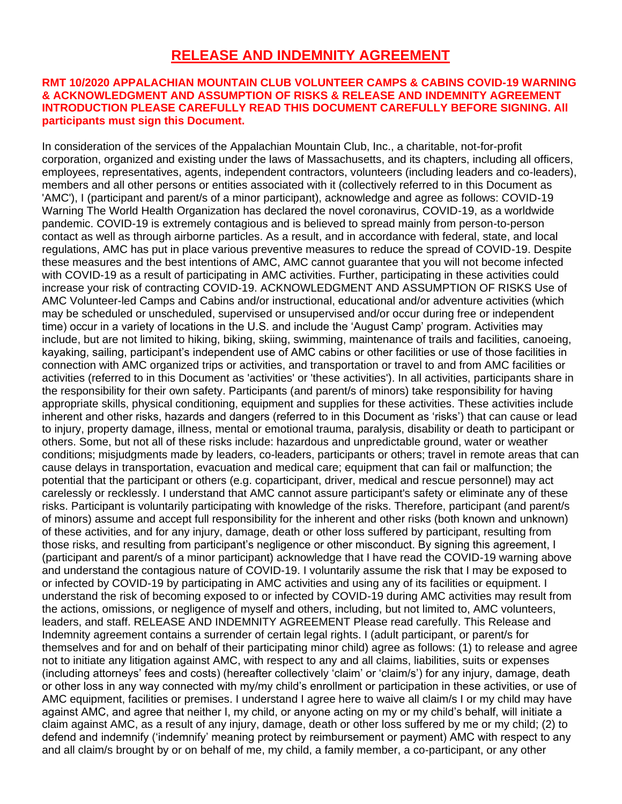#### **RELEASE AND INDEMNITY AGREEMENT**

#### **RMT 10/2020 APPALACHIAN MOUNTAIN CLUB VOLUNTEER CAMPS & CABINS COVID-19 WARNING & ACKNOWLEDGMENT AND ASSUMPTION OF RISKS & RELEASE AND INDEMNITY AGREEMENT INTRODUCTION PLEASE CAREFULLY READ THIS DOCUMENT CAREFULLY BEFORE SIGNING. All participants must sign this Document.**

In consideration of the services of the Appalachian Mountain Club, Inc., a charitable, not-for-profit corporation, organized and existing under the laws of Massachusetts, and its chapters, including all officers, employees, representatives, agents, independent contractors, volunteers (including leaders and co-leaders), members and all other persons or entities associated with it (collectively referred to in this Document as 'AMC'), I (participant and parent/s of a minor participant), acknowledge and agree as follows: COVID-19 Warning The World Health Organization has declared the novel coronavirus, COVID-19, as a worldwide pandemic. COVID-19 is extremely contagious and is believed to spread mainly from person-to-person contact as well as through airborne particles. As a result, and in accordance with federal, state, and local regulations, AMC has put in place various preventive measures to reduce the spread of COVID-19. Despite these measures and the best intentions of AMC, AMC cannot guarantee that you will not become infected with COVID-19 as a result of participating in AMC activities. Further, participating in these activities could increase your risk of contracting COVID-19. ACKNOWLEDGMENT AND ASSUMPTION OF RISKS Use of AMC Volunteer-led Camps and Cabins and/or instructional, educational and/or adventure activities (which may be scheduled or unscheduled, supervised or unsupervised and/or occur during free or independent time) occur in a variety of locations in the U.S. and include the 'August Camp' program. Activities may include, but are not limited to hiking, biking, skiing, swimming, maintenance of trails and facilities, canoeing, kayaking, sailing, participant's independent use of AMC cabins or other facilities or use of those facilities in connection with AMC organized trips or activities, and transportation or travel to and from AMC facilities or activities (referred to in this Document as 'activities' or 'these activities'). In all activities, participants share in the responsibility for their own safety. Participants (and parent/s of minors) take responsibility for having appropriate skills, physical conditioning, equipment and supplies for these activities. These activities include inherent and other risks, hazards and dangers (referred to in this Document as 'risks') that can cause or lead to injury, property damage, illness, mental or emotional trauma, paralysis, disability or death to participant or others. Some, but not all of these risks include: hazardous and unpredictable ground, water or weather conditions; misjudgments made by leaders, co-leaders, participants or others; travel in remote areas that can cause delays in transportation, evacuation and medical care; equipment that can fail or malfunction; the potential that the participant or others (e.g. coparticipant, driver, medical and rescue personnel) may act carelessly or recklessly. I understand that AMC cannot assure participant's safety or eliminate any of these risks. Participant is voluntarily participating with knowledge of the risks. Therefore, participant (and parent/s of minors) assume and accept full responsibility for the inherent and other risks (both known and unknown) of these activities, and for any injury, damage, death or other loss suffered by participant, resulting from those risks, and resulting from participant's negligence or other misconduct. By signing this agreement, I (participant and parent/s of a minor participant) acknowledge that I have read the COVID-19 warning above and understand the contagious nature of COVID-19. I voluntarily assume the risk that I may be exposed to or infected by COVID-19 by participating in AMC activities and using any of its facilities or equipment. I understand the risk of becoming exposed to or infected by COVID-19 during AMC activities may result from the actions, omissions, or negligence of myself and others, including, but not limited to, AMC volunteers, leaders, and staff. RELEASE AND INDEMNITY AGREEMENT Please read carefully. This Release and Indemnity agreement contains a surrender of certain legal rights. I (adult participant, or parent/s for themselves and for and on behalf of their participating minor child) agree as follows: (1) to release and agree not to initiate any litigation against AMC, with respect to any and all claims, liabilities, suits or expenses (including attorneys' fees and costs) (hereafter collectively 'claim' or 'claim/s') for any injury, damage, death or other loss in any way connected with my/my child's enrollment or participation in these activities, or use of AMC equipment, facilities or premises. I understand I agree here to waive all claim/s I or my child may have against AMC, and agree that neither I, my child, or anyone acting on my or my child's behalf, will initiate a claim against AMC, as a result of any injury, damage, death or other loss suffered by me or my child; (2) to defend and indemnify ('indemnify' meaning protect by reimbursement or payment) AMC with respect to any and all claim/s brought by or on behalf of me, my child, a family member, a co-participant, or any other